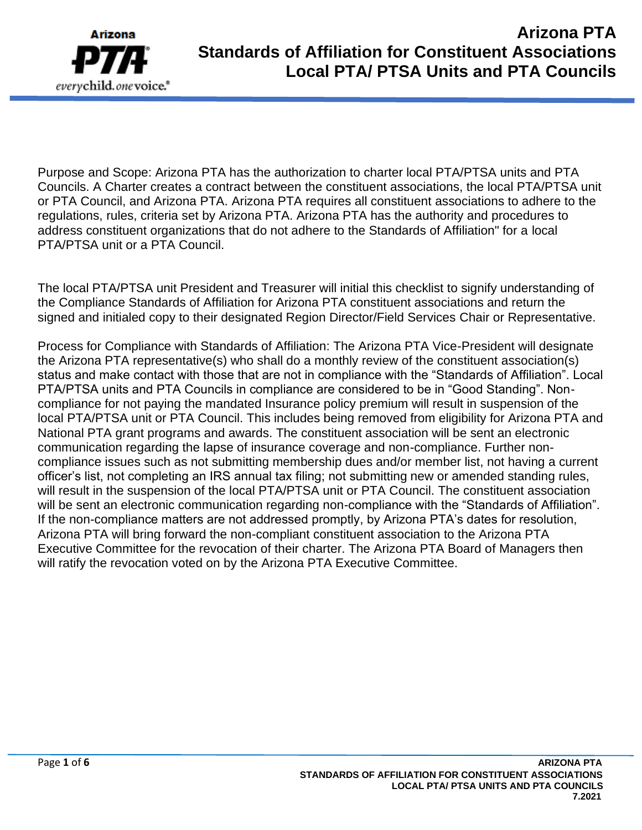

Purpose and Scope: Arizona PTA has the authorization to charter local PTA/PTSA units and PTA Councils. A Charter creates a contract between the constituent associations, the local PTA/PTSA unit or PTA Council, and Arizona PTA. Arizona PTA requires all constituent associations to adhere to the regulations, rules, criteria set by Arizona PTA. Arizona PTA has the authority and procedures to address constituent organizations that do not adhere to the Standards of Affiliation" for a local PTA/PTSA unit or a PTA Council.

The local PTA/PTSA unit President and Treasurer will initial this checklist to signify understanding of the Compliance Standards of Affiliation for Arizona PTA constituent associations and return the signed and initialed copy to their designated Region Director/Field Services Chair or Representative.

Process for Compliance with Standards of Affiliation: The Arizona PTA Vice-President will designate the Arizona PTA representative(s) who shall do a monthly review of the constituent association(s) status and make contact with those that are not in compliance with the "Standards of Affiliation". Local PTA/PTSA units and PTA Councils in compliance are considered to be in "Good Standing". Noncompliance for not paying the mandated Insurance policy premium will result in suspension of the local PTA/PTSA unit or PTA Council. This includes being removed from eligibility for Arizona PTA and National PTA grant programs and awards. The constituent association will be sent an electronic communication regarding the lapse of insurance coverage and non-compliance. Further noncompliance issues such as not submitting membership dues and/or member list, not having a current officer's list, not completing an IRS annual tax filing; not submitting new or amended standing rules, will result in the suspension of the local PTA/PTSA unit or PTA Council. The constituent association will be sent an electronic communication regarding non-compliance with the "Standards of Affiliation". If the non-compliance matters are not addressed promptly, by Arizona PTA's dates for resolution, Arizona PTA will bring forward the non-compliant constituent association to the Arizona PTA Executive Committee for the revocation of their charter. The Arizona PTA Board of Managers then will ratify the revocation voted on by the Arizona PTA Executive Committee.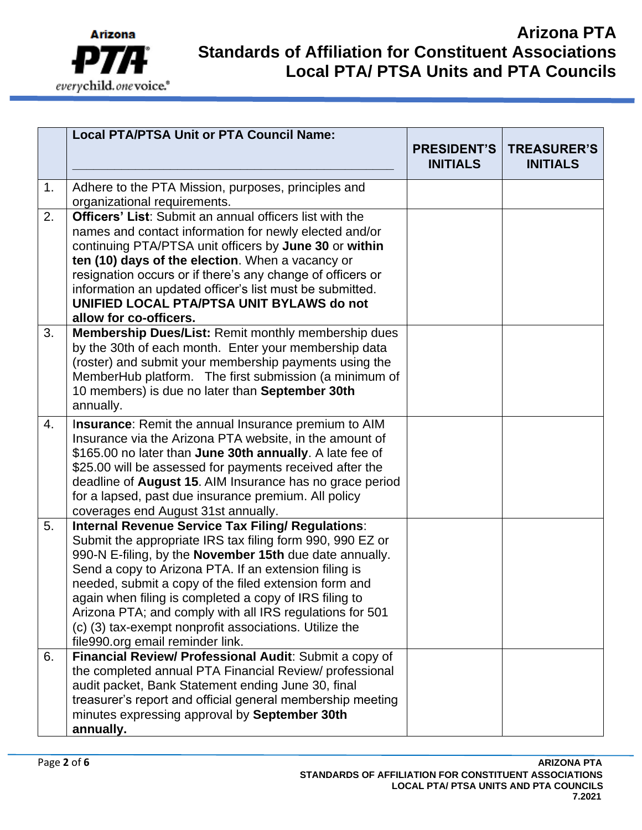

|    | <b>Local PTA/PTSA Unit or PTA Council Name:</b>                                                                                                                                                                                                                                                                                                                                                                                                                                                                 |                                       |                                       |
|----|-----------------------------------------------------------------------------------------------------------------------------------------------------------------------------------------------------------------------------------------------------------------------------------------------------------------------------------------------------------------------------------------------------------------------------------------------------------------------------------------------------------------|---------------------------------------|---------------------------------------|
|    |                                                                                                                                                                                                                                                                                                                                                                                                                                                                                                                 | <b>PRESIDENT'S</b><br><b>INITIALS</b> | <b>TREASURER'S</b><br><b>INITIALS</b> |
| 1. | Adhere to the PTA Mission, purposes, principles and<br>organizational requirements.                                                                                                                                                                                                                                                                                                                                                                                                                             |                                       |                                       |
| 2. | <b>Officers' List: Submit an annual officers list with the</b><br>names and contact information for newly elected and/or<br>continuing PTA/PTSA unit officers by June 30 or within<br>ten (10) days of the election. When a vacancy or<br>resignation occurs or if there's any change of officers or<br>information an updated officer's list must be submitted.<br>UNIFIED LOCAL PTA/PTSA UNIT BYLAWS do not<br>allow for co-officers.                                                                         |                                       |                                       |
| 3. | <b>Membership Dues/List: Remit monthly membership dues</b><br>by the 30th of each month. Enter your membership data<br>(roster) and submit your membership payments using the<br>MemberHub platform. The first submission (a minimum of<br>10 members) is due no later than September 30th<br>annually.                                                                                                                                                                                                         |                                       |                                       |
| 4. | Insurance: Remit the annual Insurance premium to AIM<br>Insurance via the Arizona PTA website, in the amount of<br>\$165.00 no later than June 30th annually. A late fee of<br>\$25.00 will be assessed for payments received after the<br>deadline of August 15. AIM Insurance has no grace period<br>for a lapsed, past due insurance premium. All policy<br>coverages end August 31st annually.                                                                                                              |                                       |                                       |
| 5. | Internal Revenue Service Tax Filing/ Regulations:<br>Submit the appropriate IRS tax filing form 990, 990 EZ or<br>990-N E-filing, by the November 15th due date annually.<br>Send a copy to Arizona PTA. If an extension filing is<br>needed, submit a copy of the filed extension form and<br>again when filing is completed a copy of IRS filing to<br>Arizona PTA; and comply with all IRS regulations for 501<br>(c) (3) tax-exempt nonprofit associations. Utilize the<br>file990.org email reminder link. |                                       |                                       |
| 6. | Financial Review/ Professional Audit: Submit a copy of<br>the completed annual PTA Financial Review/ professional<br>audit packet, Bank Statement ending June 30, final<br>treasurer's report and official general membership meeting<br>minutes expressing approval by September 30th<br>annually.                                                                                                                                                                                                             |                                       |                                       |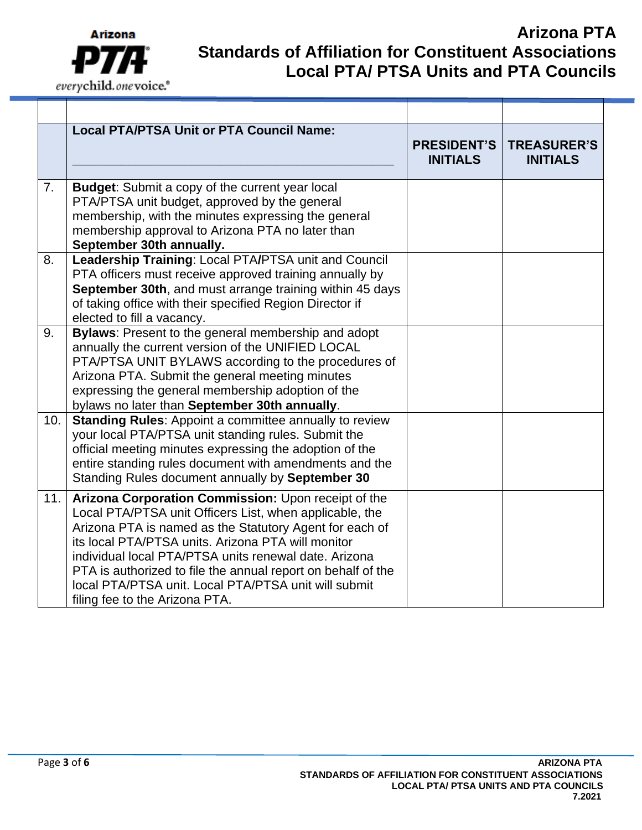

## **Arizona PTA Standards of Affiliation for Constituent Associations Local PTA/ PTSA Units and PTA Councils**

|     | <b>Local PTA/PTSA Unit or PTA Council Name:</b>                                                                                                                                                                                                                                                                                                                                                                                                    | <b>PRESIDENT'S</b><br><b>INITIALS</b> | <b>TREASURER'S</b><br><b>INITIALS</b> |
|-----|----------------------------------------------------------------------------------------------------------------------------------------------------------------------------------------------------------------------------------------------------------------------------------------------------------------------------------------------------------------------------------------------------------------------------------------------------|---------------------------------------|---------------------------------------|
| 7.  | <b>Budget:</b> Submit a copy of the current year local<br>PTA/PTSA unit budget, approved by the general<br>membership, with the minutes expressing the general<br>membership approval to Arizona PTA no later than<br>September 30th annually.                                                                                                                                                                                                     |                                       |                                       |
| 8.  | Leadership Training: Local PTA/PTSA unit and Council<br>PTA officers must receive approved training annually by<br>September 30th, and must arrange training within 45 days<br>of taking office with their specified Region Director if<br>elected to fill a vacancy.                                                                                                                                                                              |                                       |                                       |
| 9.  | Bylaws: Present to the general membership and adopt<br>annually the current version of the UNIFIED LOCAL<br>PTA/PTSA UNIT BYLAWS according to the procedures of<br>Arizona PTA. Submit the general meeting minutes<br>expressing the general membership adoption of the<br>bylaws no later than September 30th annually.                                                                                                                           |                                       |                                       |
| 10. | <b>Standing Rules: Appoint a committee annually to review</b><br>your local PTA/PTSA unit standing rules. Submit the<br>official meeting minutes expressing the adoption of the<br>entire standing rules document with amendments and the<br>Standing Rules document annually by September 30                                                                                                                                                      |                                       |                                       |
| 11. | Arizona Corporation Commission: Upon receipt of the<br>Local PTA/PTSA unit Officers List, when applicable, the<br>Arizona PTA is named as the Statutory Agent for each of<br>its local PTA/PTSA units. Arizona PTA will monitor<br>individual local PTA/PTSA units renewal date. Arizona<br>PTA is authorized to file the annual report on behalf of the<br>local PTA/PTSA unit. Local PTA/PTSA unit will submit<br>filing fee to the Arizona PTA. |                                       |                                       |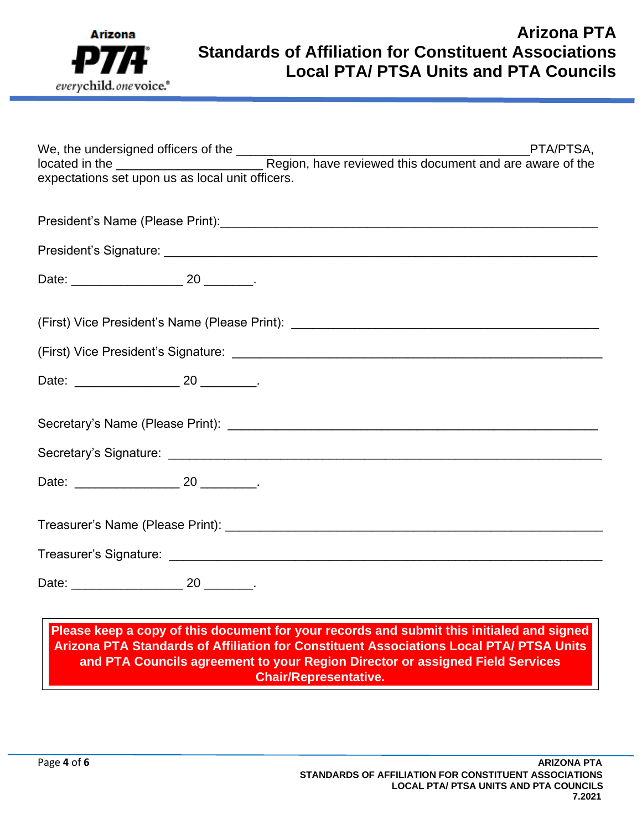

| expectations set upon us as local unit officers. |  |
|--------------------------------------------------|--|
|                                                  |  |
|                                                  |  |
|                                                  |  |
|                                                  |  |
|                                                  |  |
|                                                  |  |
|                                                  |  |
|                                                  |  |
|                                                  |  |
|                                                  |  |
|                                                  |  |
|                                                  |  |
|                                                  |  |
|                                                  |  |

**Please keep a copy of this document for your records and submit this initialed and signed Arizona PTA Standards of Affiliation for Constituent Associations Local PTA/ PTSA Units and PTA Councils agreement to your Region Director or assigned Field Services Chair/Representative.**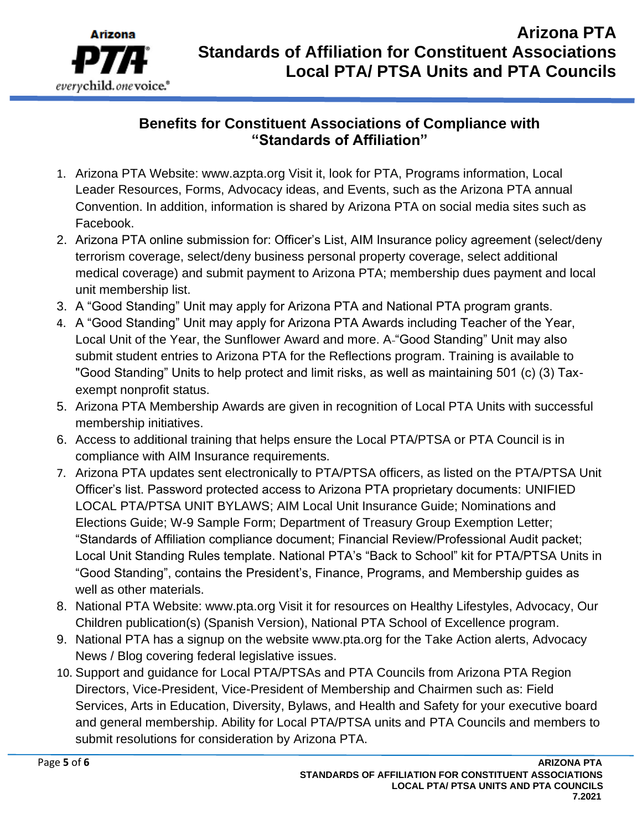

## **Benefits for Constituent Associations of Compliance with "Standards of Affiliation"**

- 1. Arizona PTA Website: www.azpta.org Visit it, look for PTA, Programs information, Local Leader Resources, Forms, Advocacy ideas, and Events, such as the Arizona PTA annual Convention. In addition, information is shared by Arizona PTA on social media sites such as Facebook.
- 2. Arizona PTA online submission for: Officer's List, AIM Insurance policy agreement (select/deny terrorism coverage, select/deny business personal property coverage, select additional medical coverage) and submit payment to Arizona PTA; membership dues payment and local unit membership list.
- 3. A "Good Standing" Unit may apply for Arizona PTA and National PTA program grants.
- 4. A "Good Standing" Unit may apply for Arizona PTA Awards including Teacher of the Year, Local Unit of the Year, the Sunflower Award and more. A "Good Standing" Unit may also submit student entries to Arizona PTA for the Reflections program. Training is available to "Good Standing" Units to help protect and limit risks, as well as maintaining 501 (c) (3) Taxexempt nonprofit status.
- 5. Arizona PTA Membership Awards are given in recognition of Local PTA Units with successful membership initiatives.
- 6. Access to additional training that helps ensure the Local PTA/PTSA or PTA Council is in compliance with AIM Insurance requirements.
- 7. Arizona PTA updates sent electronically to PTA/PTSA officers, as listed on the PTA/PTSA Unit Officer's list. Password protected access to Arizona PTA proprietary documents: UNIFIED LOCAL PTA/PTSA UNIT BYLAWS; AIM Local Unit Insurance Guide; Nominations and Elections Guide; W-9 Sample Form; Department of Treasury Group Exemption Letter; "Standards of Affiliation compliance document; Financial Review/Professional Audit packet; Local Unit Standing Rules template. National PTA's "Back to School" kit for PTA/PTSA Units in "Good Standing", contains the President's, Finance, Programs, and Membership guides as well as other materials.
- 8. National PTA Website: www.pta.org Visit it for resources on Healthy Lifestyles, Advocacy, Our Children publication(s) (Spanish Version), National PTA School of Excellence program.
- 9. National PTA has a signup on the website www.pta.org for the Take Action alerts, Advocacy News / Blog covering federal legislative issues.
- 10. Support and guidance for Local PTA/PTSAs and PTA Councils from Arizona PTA Region Directors, Vice-President, Vice-President of Membership and Chairmen such as: Field Services, Arts in Education, Diversity, Bylaws, and Health and Safety for your executive board and general membership. Ability for Local PTA/PTSA units and PTA Councils and members to submit resolutions for consideration by Arizona PTA.